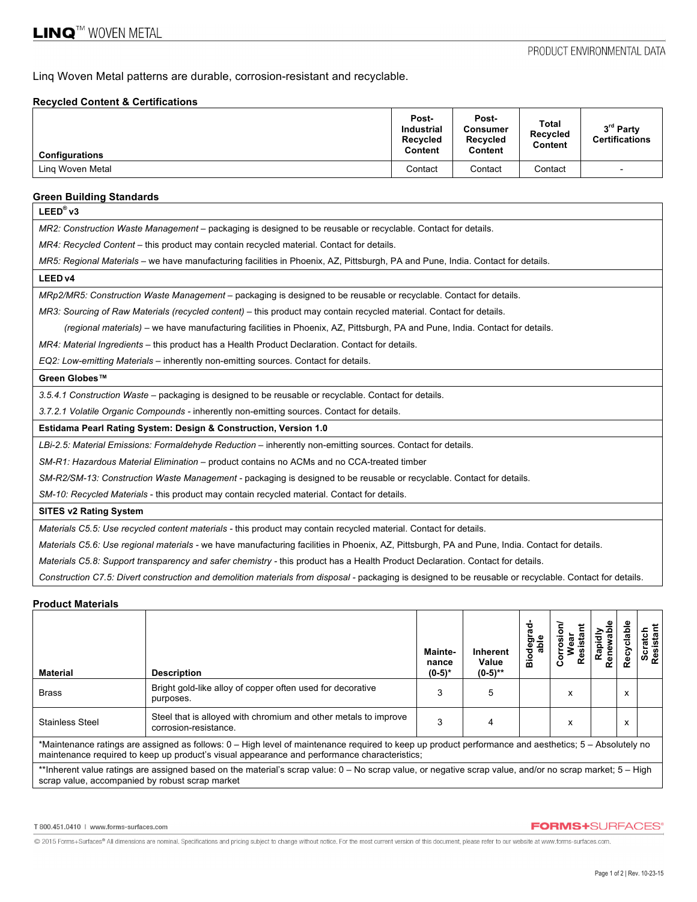Linq Woven Metal patterns are durable, corrosion-resistant and recyclable.

### **Recycled Content & Certifications**

| <b>Configurations</b> | Post-<br><b>Industrial</b><br><b>Recycled</b><br>Content | Post-<br>Consumer<br>Recycled<br>Content | <b>Total</b><br><b>Recycled</b><br>Content | 3 <sup>rd</sup> Party<br><b>Certifications</b> |
|-----------------------|----------------------------------------------------------|------------------------------------------|--------------------------------------------|------------------------------------------------|
| Ling Woven Metal      | Contact                                                  | Contact                                  | Contact                                    | $\overline{\phantom{0}}$                       |

## **Green Building Standards**

| $LEED^{\circledR}$ v3                                                                                                                                    |
|----------------------------------------------------------------------------------------------------------------------------------------------------------|
| MR2: Construction Waste Management – packaging is designed to be reusable or recyclable. Contact for details.                                            |
| MR4: Recycled Content – this product may contain recycled material. Contact for details.                                                                 |
| MR5: Regional Materials – we have manufacturing facilities in Phoenix, AZ, Pittsburgh, PA and Pune, India. Contact for details.                          |
| LEED <sub>v4</sub>                                                                                                                                       |
| MRp2/MR5: Construction Waste Management – packaging is designed to be reusable or recyclable. Contact for details.                                       |
| MR3: Sourcing of Raw Materials (recycled content) – this product may contain recycled material. Contact for details.                                     |
| (regional materials) – we have manufacturing facilities in Phoenix, AZ, Pittsburgh, PA and Pune, India. Contact for details.                             |
| MR4: Material Ingredients – this product has a Health Product Declaration. Contact for details.                                                          |
| EQ2: Low-emitting Materials - inherently non-emitting sources. Contact for details.                                                                      |
| Green Globes™                                                                                                                                            |
| 3.5.4.1 Construction Waste – packaging is designed to be reusable or recyclable. Contact for details.                                                    |
| 3.7.2.1 Volatile Organic Compounds - inherently non-emitting sources. Contact for details.                                                               |
| Estidama Pearl Rating System: Design & Construction, Version 1.0                                                                                         |
| LBi-2.5: Material Emissions: Formaldehyde Reduction – inherently non-emitting sources. Contact for details.                                              |
| SM-R1: Hazardous Material Elimination - product contains no ACMs and no CCA-treated timber                                                               |
| SM-R2/SM-13: Construction Waste Management - packaging is designed to be reusable or recyclable. Contact for details.                                    |
| SM-10: Recycled Materials - this product may contain recycled material. Contact for details.                                                             |
| <b>SITES v2 Rating System</b>                                                                                                                            |
| Materials C5.5: Use recycled content materials - this product may contain recycled material. Contact for details.                                        |
| Materials C5.6: Use regional materials - we have manufacturing facilities in Phoenix, AZ, Pittsburgh, PA and Pune, India. Contact for details.           |
| Materials C5.8: Support transparency and safer chemistry - this product has a Health Product Declaration. Contact for details.                           |
| Construction C7.5: Divert construction and demolition materials from disposal - packaging is designed to be reusable or recyclable. Contact for details. |

#### **Product Materials**

| <b>Material</b>                                                                                                                                                                                                                                       | <b>Description</b>                                                                       | Mainte-<br>nance<br>$(0-5)^*$ | <b>Inherent</b><br>Value<br>$(0-5)$ ** | ಇ<br>ౚ<br>Biode | esis<br>$\mathbf c$ | Rapidi<br>Renew | Recyclable | Scratch<br>Resistant |
|-------------------------------------------------------------------------------------------------------------------------------------------------------------------------------------------------------------------------------------------------------|------------------------------------------------------------------------------------------|-------------------------------|----------------------------------------|-----------------|---------------------|-----------------|------------|----------------------|
| <b>Brass</b>                                                                                                                                                                                                                                          | Bright gold-like alloy of copper often used for decorative<br>purposes.                  | 3                             | 5                                      |                 | x                   |                 | x          |                      |
| <b>Stainless Steel</b>                                                                                                                                                                                                                                | Steel that is alloyed with chromium and other metals to improve<br>corrosion-resistance. | 3                             |                                        |                 | x                   |                 | x          |                      |
| *Maintenance ratings are assigned as follows: 0 – High level of maintenance reguired to keep up product performance and aesthetics: 5 – Absolutely no<br>maintenance required to keep up product's visual appearance and performance characteristics; |                                                                                          |                               |                                        |                 |                     |                 |            |                      |
| **Inherent value ratings are assigned based on the material's scrap value: 0 – No scrap value, or negative scrap value, and/or no scrap market; 5 – High<br>scrap value, accompanied by robust scrap market                                           |                                                                                          |                               |                                        |                 |                     |                 |            |                      |

T 800.451.0410 | www.forms-surfaces.com

#### **FORMS+**SURFACES®

@ 2015 Forms+Surfaces® All dimensions are nominal. Specifications and pricing subject to change without notice. For the most current version of this document, please refer to our website at www.forms-surfaces.com.